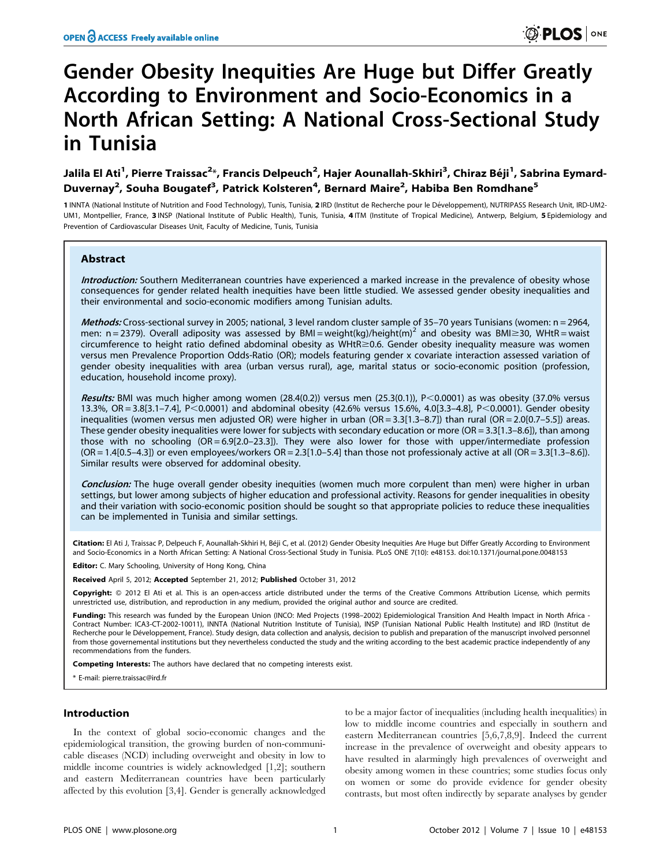# Gender Obesity Inequities Are Huge but Differ Greatly According to Environment and Socio-Economics in a North African Setting: A National Cross-Sectional Study in Tunisia

Jalila El Ati<sup>1</sup>, Pierre Traissac<sup>2</sup>\*, Francis Delpeuch<sup>2</sup>, Hajer Aounallah-Skhiri<sup>3</sup>, Chiraz Béji<sup>1</sup>, Sabrina Eymard-Duvernay<sup>2</sup>, Souha Bougatef<sup>3</sup>, Patrick Kolsteren<sup>4</sup>, Bernard Maire<sup>2</sup>, Habiba Ben Romdhane<sup>5</sup>

1 INNTA (National Institute of Nutrition and Food Technology), Tunis, Tunisia, 2 IRD (Institut de Recherche pour le Développement), NUTRIPASS Research Unit, IRD-UM2-UM1, Montpellier, France, 3 INSP (National Institute of Public Health), Tunis, Tunisia, 4 ITM (Institute of Tropical Medicine), Antwerp, Belgium, 5 Epidemiology and Prevention of Cardiovascular Diseases Unit, Faculty of Medicine, Tunis, Tunisia

## Abstract

Introduction: Southern Mediterranean countries have experienced a marked increase in the prevalence of obesity whose consequences for gender related health inequities have been little studied. We assessed gender obesity inequalities and their environmental and socio-economic modifiers among Tunisian adults.

Methods: Cross-sectional survey in 2005; national, 3 level random cluster sample of 35–70 years Tunisians (women: n = 2964, men: n = 2379). Overall adiposity was assessed by BMI = weight(kg)/height(m)<sup>2</sup> and obesity was BMI ≥30, WHtR = waist  $circ$  circumference to height ratio defined abdominal obesity as WHtR $\geq$ 0.6. Gender obesity inequality measure was women versus men Prevalence Proportion Odds-Ratio (OR); models featuring gender x covariate interaction assessed variation of gender obesity inequalities with area (urban versus rural), age, marital status or socio-economic position (profession, education, household income proxy).

Results: BMI was much higher among women  $(28.4(0.2))$  versus men  $(25.3(0.1))$ , P<0.0001) as was obesity (37.0% versus 13.3%, OR = 3.8[3.1-7.4], P<0.0001) and abdominal obesity (42.6% versus 15.6%, 4.0[3.3-4.8], P<0.0001). Gender obesity inequalities (women versus men adjusted OR) were higher in urban (OR = 3.3[1.3–8.7]) than rural (OR = 2.0[0.7–5.5]) areas. These gender obesity inequalities were lower for subjects with secondary education or more (OR = 3.3[1.3–8.6]), than among those with no schooling (OR = 6.9[2.0–23.3]). They were also lower for those with upper/intermediate profession (OR = 1.4[0.5–4.3]) or even employees/workers OR = 2.3[1.0–5.4] than those not professionaly active at all (OR = 3.3[1.3–8.6]). Similar results were observed for addominal obesity.

Conclusion: The huge overall gender obesity inequities (women much more corpulent than men) were higher in urban settings, but lower among subjects of higher education and professional activity. Reasons for gender inequalities in obesity and their variation with socio-economic position should be sought so that appropriate policies to reduce these inequalities can be implemented in Tunisia and similar settings.

Citation: El Ati J, Traissac P, Delpeuch F, Aounallah-Skhiri H, Béji C, et al. (2012) Gender Obesity Inequities Are Huge but Differ Greatly According to Environment and Socio-Economics in a North African Setting: A National Cross-Sectional Study in Tunisia. PLoS ONE 7(10): e48153. doi:10.1371/journal.pone.0048153

Editor: C. Mary Schooling, University of Hong Kong, China

Received April 5, 2012; Accepted September 21, 2012; Published October 31, 2012

Copyright: © 2012 El Ati et al. This is an open-access article distributed under the terms of the Creative Commons Attribution License, which permits unrestricted use, distribution, and reproduction in any medium, provided the original author and source are credited.

Funding: This research was funded by the European Union (INCO: Med Projects (1998-2002) Epidemiological Transition And Health Impact in North Africa -Contract Number: ICA3-CT-2002-10011), INNTA (National Nutrition Institute of Tunisia), INSP (Tunisian National Public Health Institute) and IRD (Institut de Recherche pour le Développement, France). Study design, data collection and analysis, decision to publish and preparation of the manuscript involved personnel from those governemental institutions but they nevertheless conducted the study and the writing according to the best academic practice independently of any recommendations from the funders.

ompeting Interests: The authors have declared that no competing interests exist.

\* E-mail: pierre.traissac@ird.fr

### Introduction

In the context of global socio-economic changes and the epidemiological transition, the growing burden of non-communicable diseases (NCD) including overweight and obesity in low to middle income countries is widely acknowledged [1,2]; southern and eastern Mediterranean countries have been particularly affected by this evolution [3,4]. Gender is generally acknowledged

to be a major factor of inequalities (including health inequalities) in low to middle income countries and especially in southern and eastern Mediterranean countries [5,6,7,8,9]. Indeed the current increase in the prevalence of overweight and obesity appears to have resulted in alarmingly high prevalences of overweight and obesity among women in these countries; some studies focus only on women or some do provide evidence for gender obesity contrasts, but most often indirectly by separate analyses by gender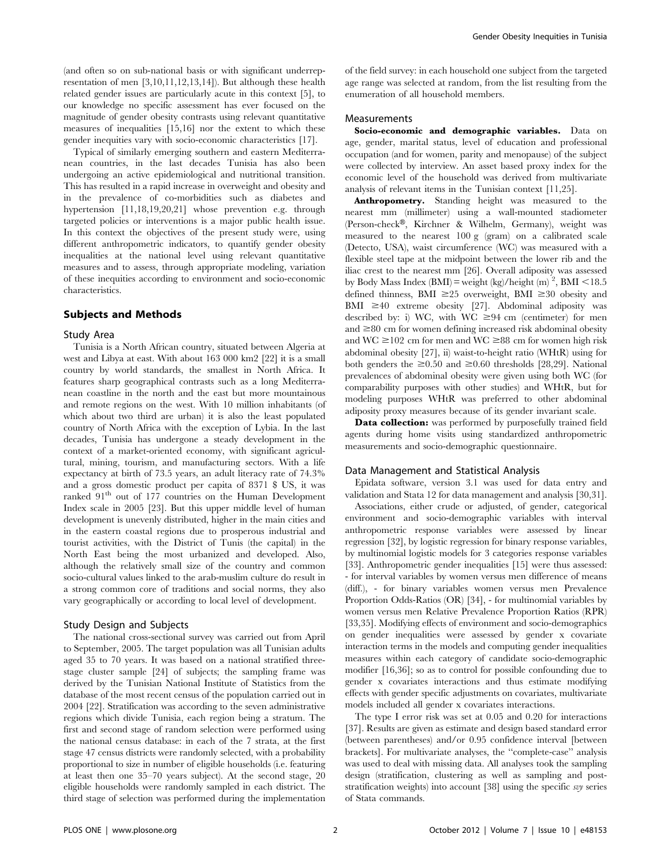(and often so on sub-national basis or with significant underrepresentation of men [3,10,11,12,13,14]). But although these health related gender issues are particularly acute in this context [5], to our knowledge no specific assessment has ever focused on the magnitude of gender obesity contrasts using relevant quantitative measures of inequalities [15,16] nor the extent to which these gender inequities vary with socio-economic characteristics [17].

Typical of similarly emerging southern and eastern Mediterranean countries, in the last decades Tunisia has also been undergoing an active epidemiological and nutritional transition. This has resulted in a rapid increase in overweight and obesity and in the prevalence of co-morbidities such as diabetes and hypertension [11,18,19,20,21] whose prevention e.g. through targeted policies or interventions is a major public health issue. In this context the objectives of the present study were, using different anthropometric indicators, to quantify gender obesity inequalities at the national level using relevant quantitative measures and to assess, through appropriate modeling, variation of these inequities according to environment and socio-economic characteristics.

#### Subjects and Methods

## Study Area

Tunisia is a North African country, situated between Algeria at west and Libya at east. With about 163 000 km2 [22] it is a small country by world standards, the smallest in North Africa. It features sharp geographical contrasts such as a long Mediterranean coastline in the north and the east but more mountainous and remote regions on the west. With 10 million inhabitants (of which about two third are urban) it is also the least populated country of North Africa with the exception of Lybia. In the last decades, Tunisia has undergone a steady development in the context of a market-oriented economy, with significant agricultural, mining, tourism, and manufacturing sectors. With a life expectancy at birth of 73.5 years, an adult literacy rate of 74.3% and a gross domestic product per capita of 8371 \$ US, it was ranked 91<sup>th</sup> out of 177 countries on the Human Development Index scale in 2005 [23]. But this upper middle level of human development is unevenly distributed, higher in the main cities and in the eastern coastal regions due to prosperous industrial and tourist activities, with the District of Tunis (the capital) in the North East being the most urbanized and developed. Also, although the relatively small size of the country and common socio-cultural values linked to the arab-muslim culture do result in a strong common core of traditions and social norms, they also vary geographically or according to local level of development.

#### Study Design and Subjects

The national cross-sectional survey was carried out from April to September, 2005. The target population was all Tunisian adults aged 35 to 70 years. It was based on a national stratified threestage cluster sample [24] of subjects; the sampling frame was derived by the Tunisian National Institute of Statistics from the database of the most recent census of the population carried out in 2004 [22]. Stratification was according to the seven administrative regions which divide Tunisia, each region being a stratum. The first and second stage of random selection were performed using the national census database: in each of the 7 strata, at the first stage 47 census districts were randomly selected, with a probability proportional to size in number of eligible households (i.e. featuring at least then one 35–70 years subject). At the second stage, 20 eligible households were randomly sampled in each district. The third stage of selection was performed during the implementation of the field survey: in each household one subject from the targeted age range was selected at random, from the list resulting from the enumeration of all household members.

#### Measurements

Socio-economic and demographic variables. Data on age, gender, marital status, level of education and professional occupation (and for women, parity and menopause) of the subject were collected by interview. An asset based proxy index for the economic level of the household was derived from multivariate analysis of relevant items in the Tunisian context [11,25].

Anthropometry. Standing height was measured to the nearest mm (millimeter) using a wall-mounted stadiometer (Person-check®, Kirchner & Wilhelm, Germany), weight was measured to the nearest 100 g (gram) on a calibrated scale (Detecto, USA), waist circumference (WC) was measured with a flexible steel tape at the midpoint between the lower rib and the iliac crest to the nearest mm [26]. Overall adiposity was assessed by Body Mass Index (BMI) = weight (kg)/height (m)<sup>2</sup>, BMI <18.5 defined thinness, BMI  $\geq 25$  overweight, BMI  $\geq 30$  obesity and BMI  $\geq$ 40 extreme obesity [27]. Abdominal adiposity was described by: i) WC, with WC  $\geq 94$  cm (centimeter) for men and  $\geq$ 80 cm for women defining increased risk abdominal obesity and  $WC \ge 102$  cm for men and  $WC \ge 88$  cm for women high risk abdominal obesity [27], ii) waist-to-height ratio (WHtR) using for both genders the  $\geq 0.50$  and  $\geq 0.60$  thresholds [28,29]. National prevalences of abdominal obesity were given using both WC (for comparability purposes with other studies) and WHtR, but for modeling purposes WHtR was preferred to other abdominal adiposity proxy measures because of its gender invariant scale.

Data collection: was performed by purposefully trained field agents during home visits using standardized anthropometric measurements and socio-demographic questionnaire.

#### Data Management and Statistical Analysis

Epidata software, version 3.1 was used for data entry and validation and Stata 12 for data management and analysis [30,31].

Associations, either crude or adjusted, of gender, categorical environment and socio-demographic variables with interval anthropometric response variables were assessed by linear regression [32], by logistic regression for binary response variables, by multinomial logistic models for 3 categories response variables [33]. Anthropometric gender inequalities [15] were thus assessed: - for interval variables by women versus men difference of means (diff.), - for binary variables women versus men Prevalence Proportion Odds-Ratios (OR) [34], - for multinomial variables by women versus men Relative Prevalence Proportion Ratios (RPR) [33,35]. Modifying effects of environment and socio-demographics on gender inequalities were assessed by gender x covariate interaction terms in the models and computing gender inequalities measures within each category of candidate socio-demographic modifier [16,36]; so as to control for possible confounding due to gender x covariates interactions and thus estimate modifying effects with gender specific adjustments on covariates, multivariate models included all gender x covariates interactions.

The type I error risk was set at 0.05 and 0.20 for interactions [37]. Results are given as estimate and design based standard error (between parentheses) and/or 0.95 confidence interval [between brackets]. For multivariate analyses, the ''complete-case'' analysis was used to deal with missing data. All analyses took the sampling design (stratification, clustering as well as sampling and poststratification weights) into account [38] using the specific svy series of Stata commands.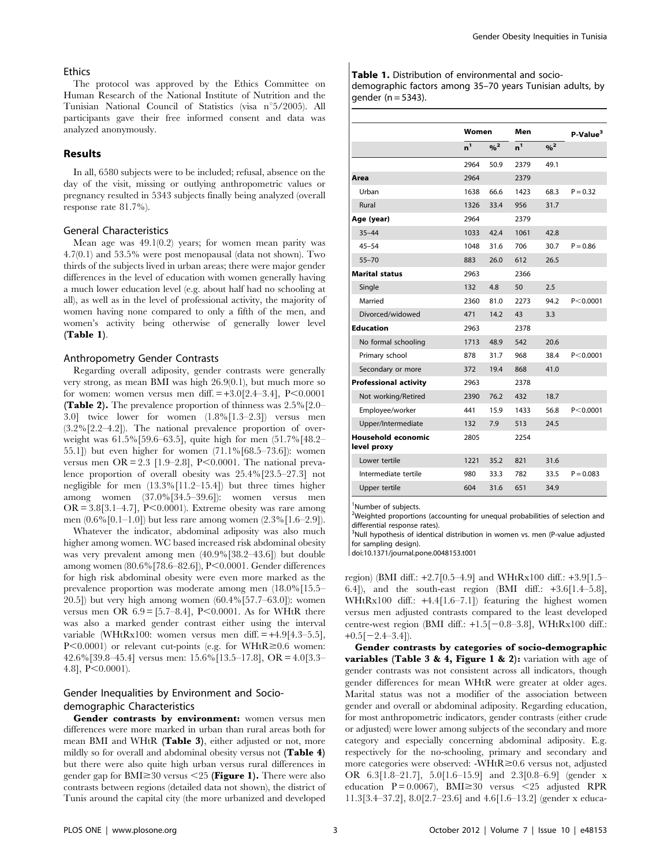#### Ethics

The protocol was approved by the Ethics Committee on Human Research of the National Institute of Nutrition and the Tunisian National Council of Statistics (visa n°5/2005). All participants gave their free informed consent and data was analyzed anonymously.

# Results

In all, 6580 subjects were to be included; refusal, absence on the day of the visit, missing or outlying anthropometric values or pregnancy resulted in 5343 subjects finally being analyzed (overall response rate 81.7%).

#### General Characteristics

Mean age was 49.1(0.2) years; for women mean parity was 4.7(0.1) and 53.5% were post menopausal (data not shown). Two thirds of the subjects lived in urban areas; there were major gender differences in the level of education with women generally having a much lower education level (e.g. about half had no schooling at all), as well as in the level of professional activity, the majority of women having none compared to only a fifth of the men, and women's activity being otherwise of generally lower level (Table 1).

### Anthropometry Gender Contrasts

Regarding overall adiposity, gender contrasts were generally very strong, as mean BMI was high 26.9(0.1), but much more so for women: women versus men diff.  $= +3.0[2.4 - 3.4]$ , P $< 0.0001$ (Table 2). The prevalence proportion of thinness was 2.5%[2.0– 3.0] twice lower for women (1.8%[1.3–2.3]) versus men (3.2%[2.2–4.2]). The national prevalence proportion of overweight was 61.5%[59.6–63.5], quite high for men (51.7%[48.2– 55.1]) but even higher for women (71.1%[68.5–73.6]): women versus men  $OR = 2.3$  [1.9–2.8], P<0.0001. The national prevalence proportion of overall obesity was 25.4%[23.5–27.3] not negligible for men (13.3%[11.2–15.4]) but three times higher among women (37.0%[34.5–39.6]): women versus men  $OR = 3.8[3.1-4.7], P<0.0001$ . Extreme obesity was rare among men (0.6%[0.1–1.0]) but less rare among women (2.3%[1.6–2.9]).

Whatever the indicator, abdominal adiposity was also much higher among women. WC based increased risk abdominal obesity was very prevalent among men (40.9%[38.2–43.6]) but double among women  $(80.6\%$  [78.6–82.6]), P<0.0001. Gender differences for high risk abdominal obesity were even more marked as the prevalence proportion was moderate among men (18.0%[15.5– 20.5]) but very high among women (60.4%[57.7–63.0]): women versus men OR  $6.9 = [5.7–8.4]$ , P<0.0001. As for WHtR there was also a marked gender contrast either using the interval variable (WHtRx100: women versus men diff.  $=+4.9[4.3-5.5]$ ,  $P<0.0001$ ) or relevant cut-points (e.g. for WHtR $\geq 0.6$  women: 42.6%[39.8–45.4] versus men: 15.6%[13.5–17.8], OR = 4.0[3.3– 4.8],  $P<0.0001$ ).

# Gender Inequalities by Environment and Sociodemographic Characteristics

Gender contrasts by environment: women versus men differences were more marked in urban than rural areas both for mean BMI and WHtR (Table 3), either adjusted or not, more mildly so for overall and abdominal obesity versus not (Table 4) but there were also quite high urban versus rural differences in gender gap for BMI $\geq$ 30 versus <25 (Figure 1). There were also contrasts between regions (detailed data not shown), the district of Tunis around the capital city (the more urbanized and developed Table 1. Distribution of environmental and sociodemographic factors among 35–70 years Tunisian adults, by gender (n = 5343).

|                                   | Women          |                            | Men            |                            | $P-Value3$  |
|-----------------------------------|----------------|----------------------------|----------------|----------------------------|-------------|
|                                   | n <sup>1</sup> | $\frac{9}{6}$ <sup>2</sup> | n <sup>1</sup> | $\frac{9}{6}$ <sup>2</sup> |             |
|                                   | 2964           | 50.9                       | 2379           | 49.1                       |             |
| Area                              | 2964           |                            | 2379           |                            |             |
| Urban                             | 1638           | 66.6                       | 1423           | 68.3                       | $P = 0.32$  |
| Rural                             | 1326           | 33.4                       | 956            | 31.7                       |             |
| Age (year)                        | 2964           |                            | 2379           |                            |             |
| $35 - 44$                         | 1033           | 42.4                       | 1061           | 42.8                       |             |
| $45 - 54$                         | 1048           | 31.6                       | 706            | 30.7                       | $P = 0.86$  |
| $55 - 70$                         | 883            | 26.0                       | 612            | 26.5                       |             |
| <b>Marital status</b>             | 2963           |                            | 2366           |                            |             |
| Single                            | 132            | 4.8                        | 50             | 2.5                        |             |
| Married                           | 2360           | 81.0                       | 2273           | 94.2                       | P < 0.0001  |
| Divorced/widowed                  | 471            | 14.2                       | 43             | 3.3                        |             |
| <b>Education</b>                  | 2963           |                            | 2378           |                            |             |
| No formal schooling               | 1713           | 48.9                       | 542            | 20.6                       |             |
| Primary school                    | 878            | 31.7                       | 968            | 38.4                       | P < 0.0001  |
| Secondary or more                 | 372            | 19.4                       | 868            | 41.0                       |             |
| <b>Professional activity</b>      | 2963           |                            | 2378           |                            |             |
| Not working/Retired               | 2390           | 76.2                       | 432            | 18.7                       |             |
| Employee/worker                   | 441            | 15.9                       | 1433           | 56.8                       | P < 0.0001  |
| Upper/Intermediate                | 132            | 7.9                        | 513            | 24.5                       |             |
| Household economic<br>level proxy | 2805           |                            | 2254           |                            |             |
| Lower tertile                     | 1221           | 35.2                       | 821            | 31.6                       |             |
| Intermediate tertile              | 980            | 33.3                       | 782            | 33.5                       | $P = 0.083$ |
| Upper tertile                     | 604            | 31.6                       | 651            | 34.9                       |             |

<sup>1</sup>Number of subjects.

<sup>2</sup>Weighted proportions (accounting for unequal probabilities of selection and differential response rates).

<sup>3</sup>Null hypothesis of identical distribution in women vs. men (P-value adjusted for sampling design).

doi:10.1371/journal.pone.0048153.t001

region) (BMI diff.: +2.7[0.5–4.9] and WHtRx100 diff.: +3.9[1.5– 6.4]), and the south-east region (BMI diff.: +3.6[1.4–5.8], WHtRx100 diff.: +4.4[1.6–7.1]) featuring the highest women versus men adjusted contrasts compared to the least developed centre-west region (BMI diff.:  $+1.5[-0.8-3.8]$ , WHtRx100 diff.:  $+0.5[-2.4-3.4]$ .

Gender contrasts by categories of socio-demographic **variables (Table 3 & 4, Figure 1 & 2):** variation with age of gender contrasts was not consistent across all indicators, though gender differences for mean WHtR were greater at older ages. Marital status was not a modifier of the association between gender and overall or abdominal adiposity. Regarding education, for most anthropometric indicators, gender contrasts (either crude or adjusted) were lower among subjects of the secondary and more category and especially concerning abdominal adiposity. E.g. respectively for the no-schooling, primary and secondary and more categories were observed: -WHtR $\geq 0.6$  versus not, adjusted OR 6.3[1.8–21.7], 5.0[1.6–15.9] and 2.3[0.8–6.9] (gender x education  $P = 0.0067$ , BMI $\geq 30$  versus <25 adjusted RPR 11.3[3.4–37.2], 8.0[2.7–23.6] and 4.6[1.6–13.2] (gender x educa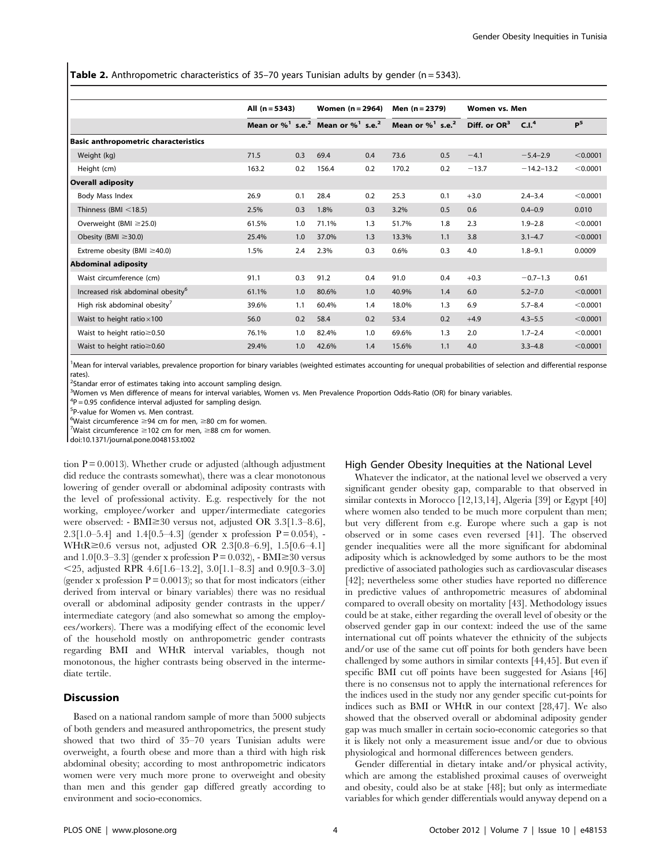**Table 2.** Anthropometric characteristics of  $35-70$  years Tunisian adults by gender (n = 5343).

|                                               | All $(n = 5343)$ |     | Women $(n = 2964)$<br>Men (n = 2379)                                                    |     |                                             |     | Women vs. Men  |                   |          |  |  |
|-----------------------------------------------|------------------|-----|-----------------------------------------------------------------------------------------|-----|---------------------------------------------|-----|----------------|-------------------|----------|--|--|
|                                               |                  |     | Mean or $\%$ <sup>1</sup> s.e. <sup>2</sup> Mean or $\%$ <sup>1</sup> s.e. <sup>2</sup> |     | Mean or $\%$ <sup>1</sup> s.e. <sup>2</sup> |     | Diff. or $OR3$ | C.I. <sup>4</sup> | $P^5$    |  |  |
| <b>Basic anthropometric characteristics</b>   |                  |     |                                                                                         |     |                                             |     |                |                   |          |  |  |
| Weight (kg)                                   | 71.5             | 0.3 | 69.4                                                                                    | 0.4 | 73.6                                        | 0.5 | $-4.1$         | $-5.4 - 2.9$      | < 0.0001 |  |  |
| Height (cm)                                   | 163.2            | 0.2 | 156.4                                                                                   | 0.2 | 170.2                                       | 0.2 | $-13.7$        | $-14.2 - 13.2$    | < 0.0001 |  |  |
| <b>Overall adiposity</b>                      |                  |     |                                                                                         |     |                                             |     |                |                   |          |  |  |
| Body Mass Index                               | 26.9             | 0.1 | 28.4                                                                                    | 0.2 | 25.3                                        | 0.1 | $+3.0$         | $2.4 - 3.4$       | < 0.0001 |  |  |
| Thinness (BMI $<$ 18.5)                       | 2.5%             | 0.3 | 1.8%                                                                                    | 0.3 | 3.2%                                        | 0.5 | 0.6            | $0.4 - 0.9$       | 0.010    |  |  |
| Overweight (BMI $\geq$ 25.0)                  | 61.5%            | 1.0 | 71.1%                                                                                   | 1.3 | 51.7%                                       | 1.8 | 2.3            | $1.9 - 2.8$       | < 0.0001 |  |  |
| Obesity (BMI $\geq$ 30.0)                     | 25.4%            | 1.0 | 37.0%                                                                                   | 1.3 | 13.3%                                       | 1.1 | 3.8            | $3.1 - 4.7$       | < 0.0001 |  |  |
| Extreme obesity (BMI $\geq$ 40.0)             | 1.5%             | 2.4 | 2.3%                                                                                    | 0.3 | 0.6%                                        | 0.3 | 4.0            | $1.8 - 9.1$       | 0.0009   |  |  |
| <b>Abdominal adiposity</b>                    |                  |     |                                                                                         |     |                                             |     |                |                   |          |  |  |
| Waist circumference (cm)                      | 91.1             | 0.3 | 91.2                                                                                    | 0.4 | 91.0                                        | 0.4 | $+0.3$         | $-0.7-1.3$        | 0.61     |  |  |
| Increased risk abdominal obesity <sup>6</sup> | 61.1%            | 1.0 | 80.6%                                                                                   | 1.0 | 40.9%                                       | 1.4 | 6.0            | $5.2 - 7.0$       | < 0.0001 |  |  |
| High risk abdominal obesity'                  | 39.6%            | 1.1 | 60.4%                                                                                   | 1.4 | 18.0%                                       | 1.3 | 6.9            | $5.7 - 8.4$       | < 0.0001 |  |  |
| Waist to height ratio $\times 100$            | 56.0             | 0.2 | 58.4                                                                                    | 0.2 | 53.4                                        | 0.2 | $+4.9$         | $4.3 - 5.5$       | < 0.0001 |  |  |
| Waist to height ratio≥0.50                    | 76.1%            | 1.0 | 82.4%                                                                                   | 1.0 | 69.6%                                       | 1.3 | 2.0            | $1.7 - 2.4$       | < 0.0001 |  |  |
| Waist to height ratio≥0.60                    | 29.4%            | 1.0 | 42.6%                                                                                   | 1.4 | 15.6%                                       | 1.1 | 4.0            | $3.3 - 4.8$       | < 0.0001 |  |  |

<sup>1</sup>Mean for interval variables, prevalence proportion for binary variables (weighted estimates accounting for unequal probabilities of selection and differential response rates).

<sup>2</sup>Standar error of estimates taking into account sampling design.

<sup>3</sup>Women vs Men difference of means for interval variables, Women vs. Men Prevalence Proportion Odds-Ratio (OR) for binary variables.

 ${}^{4}P = 0.95$  confidence interval adjusted for sampling design.

5 P-value for Women vs. Men contrast.

<sup>6</sup>Waist circumference ≥94 cm for men, ≥80 cm for women.<br><sup>7</sup>Waist circumference >102 cm for men, >88 cm for women

Waist circumference  $\geq$ 102 cm for men,  $\geq$ 88 cm for women.

doi:10.1371/journal.pone.0048153.t002

tion  $P = 0.0013$ ). Whether crude or adjusted (although adjustment did reduce the contrasts somewhat), there was a clear monotonous lowering of gender overall or abdominal adiposity contrasts with the level of professional activity. E.g. respectively for the not working, employee/worker and upper/intermediate categories were observed: - BMI $\geq$ 30 versus not, adjusted OR 3.3[1.3–8.6], 2.3[1.0–5.4] and 1.4[0.5–4.3] (gender x profession  $P = 0.054$ ), -WHtR $\geq 0.6$  versus not, adjusted OR 2.3[0.8–6.9], 1.5[0.6–4.1] and 1.0[0.3–3.3] (gender x profession  $P = 0.032$ ), - BMI $\geq 30$  versus  $\leq$  25, adjusted RPR 4.6[1.6–13.2], 3.0[1.1–8.3] and 0.9[0.3–3.0] (gender x profession  $P = 0.0013$ ); so that for most indicators (either derived from interval or binary variables) there was no residual overall or abdominal adiposity gender contrasts in the upper/ intermediate category (and also somewhat so among the employees/workers). There was a modifying effect of the economic level of the household mostly on anthropometric gender contrasts regarding BMI and WHtR interval variables, though not monotonous, the higher contrasts being observed in the intermediate tertile.

## Discussion

Based on a national random sample of more than 5000 subjects of both genders and measured anthropometrics, the present study showed that two third of 35–70 years Tunisian adults were overweight, a fourth obese and more than a third with high risk abdominal obesity; according to most anthropometric indicators women were very much more prone to overweight and obesity than men and this gender gap differed greatly according to environment and socio-economics.

# High Gender Obesity Inequities at the National Level

Whatever the indicator, at the national level we observed a very significant gender obesity gap, comparable to that observed in similar contexts in Morocco [12,13,14], Algeria [39] or Egypt [40] where women also tended to be much more corpulent than men; but very different from e.g. Europe where such a gap is not observed or in some cases even reversed [41]. The observed gender inequalities were all the more significant for abdominal adiposity which is acknowledged by some authors to be the most predictive of associated pathologies such as cardiovascular diseases [42]; nevertheless some other studies have reported no difference in predictive values of anthropometric measures of abdominal compared to overall obesity on mortality [43]. Methodology issues could be at stake, either regarding the overall level of obesity or the observed gender gap in our context: indeed the use of the same international cut off points whatever the ethnicity of the subjects and/or use of the same cut off points for both genders have been challenged by some authors in similar contexts [44,45]. But even if specific BMI cut off points have been suggested for Asians [46] there is no consensus not to apply the international references for the indices used in the study nor any gender specific cut-points for indices such as BMI or WHtR in our context [28,47]. We also showed that the observed overall or abdominal adiposity gender gap was much smaller in certain socio-economic categories so that it is likely not only a measurement issue and/or due to obvious physiological and hormonal differences between genders.

Gender differential in dietary intake and/or physical activity, which are among the established proximal causes of overweight and obesity, could also be at stake [48]; but only as intermediate variables for which gender differentials would anyway depend on a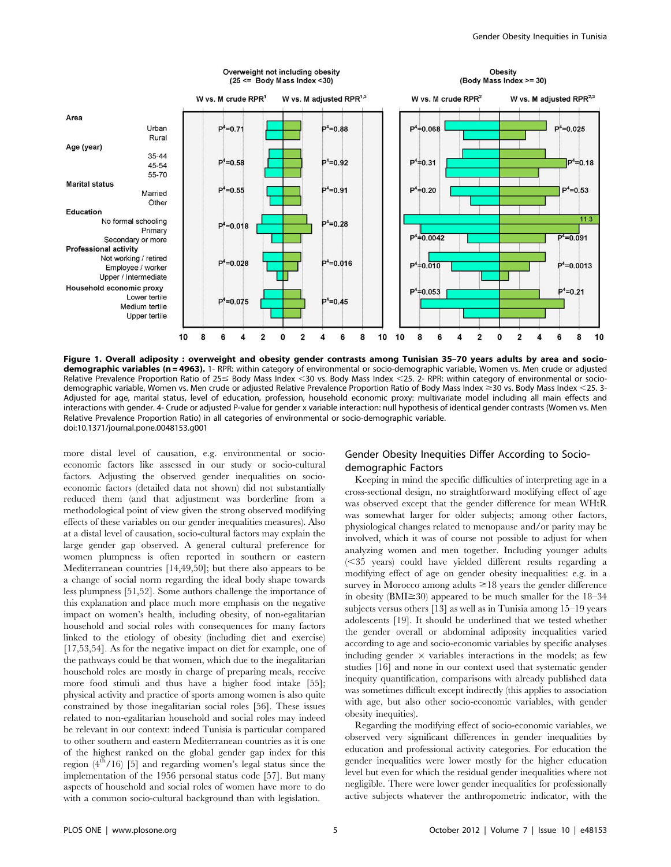

Figure 1. Overall adiposity : overweight and obesity gender contrasts among Tunisian 35–70 years adults by area and sociodemographic variables (n = 4963). 1- RPR: within category of environmental or socio-demographic variable, Women vs. Men crude or adjusted Relative Prevalence Proportion Ratio of 25  $\leq$  Body Mass Index <30 vs. Body Mass Index <25. 2- RPR: within category of environmental or sociodemographic variable, Women vs. Men crude or adjusted Relative Prevalence Proportion Ratio of Body Mass Index ≥30 vs. Body Mass Index <25. 3-Adjusted for age, marital status, level of education, profession, household economic proxy: multivariate model including all main effects and interactions with gender. 4- Crude or adjusted P-value for gender x variable interaction: null hypothesis of identical gender contrasts (Women vs. Men Relative Prevalence Proportion Ratio) in all categories of environmental or socio-demographic variable. doi:10.1371/journal.pone.0048153.g001

more distal level of causation, e.g. environmental or socioeconomic factors like assessed in our study or socio-cultural factors. Adjusting the observed gender inequalities on socioeconomic factors (detailed data not shown) did not substantially reduced them (and that adjustment was borderline from a methodological point of view given the strong observed modifying effects of these variables on our gender inequalities measures). Also at a distal level of causation, socio-cultural factors may explain the large gender gap observed. A general cultural preference for women plumpness is often reported in southern or eastern Mediterranean countries [14,49,50]; but there also appears to be a change of social norm regarding the ideal body shape towards less plumpness [51,52]. Some authors challenge the importance of this explanation and place much more emphasis on the negative impact on women's health, including obesity, of non-egalitarian household and social roles with consequences for many factors linked to the etiology of obesity (including diet and exercise) [17,53,54]. As for the negative impact on diet for example, one of the pathways could be that women, which due to the inegalitarian household roles are mostly in charge of preparing meals, receive more food stimuli and thus have a higher food intake [55]; physical activity and practice of sports among women is also quite constrained by those inegalitarian social roles [56]. These issues related to non-egalitarian household and social roles may indeed be relevant in our context: indeed Tunisia is particular compared to other southern and eastern Mediterranean countries as it is one of the highest ranked on the global gender gap index for this region  $(4<sup>th</sup>/16)$  [5] and regarding women's legal status since the implementation of the 1956 personal status code [57]. But many aspects of household and social roles of women have more to do with a common socio-cultural background than with legislation.

# Gender Obesity Inequities Differ According to Sociodemographic Factors

Keeping in mind the specific difficulties of interpreting age in a cross-sectional design, no straightforward modifying effect of age was observed except that the gender difference for mean WHtR was somewhat larger for older subjects; among other factors, physiological changes related to menopause and/or parity may be involved, which it was of course not possible to adjust for when analyzing women and men together. Including younger adults  $(< 35$  years) could have yielded different results regarding a modifying effect of age on gender obesity inequalities: e.g. in a survey in Morocco among adults  $\geq$ 18 years the gender difference in obesity ( $BMI \geq 30$ ) appeared to be much smaller for the 18–34 subjects versus others [13] as well as in Tunisia among 15–19 years adolescents [19]. It should be underlined that we tested whether the gender overall or abdominal adiposity inequalities varied according to age and socio-economic variables by specific analyses including gender  $\times$  variables interactions in the models; as few studies [16] and none in our context used that systematic gender inequity quantification, comparisons with already published data was sometimes difficult except indirectly (this applies to association with age, but also other socio-economic variables, with gender obesity inequities).

Regarding the modifying effect of socio-economic variables, we observed very significant differences in gender inequalities by education and professional activity categories. For education the gender inequalities were lower mostly for the higher education level but even for which the residual gender inequalities where not negligible. There were lower gender inequalities for professionally active subjects whatever the anthropometric indicator, with the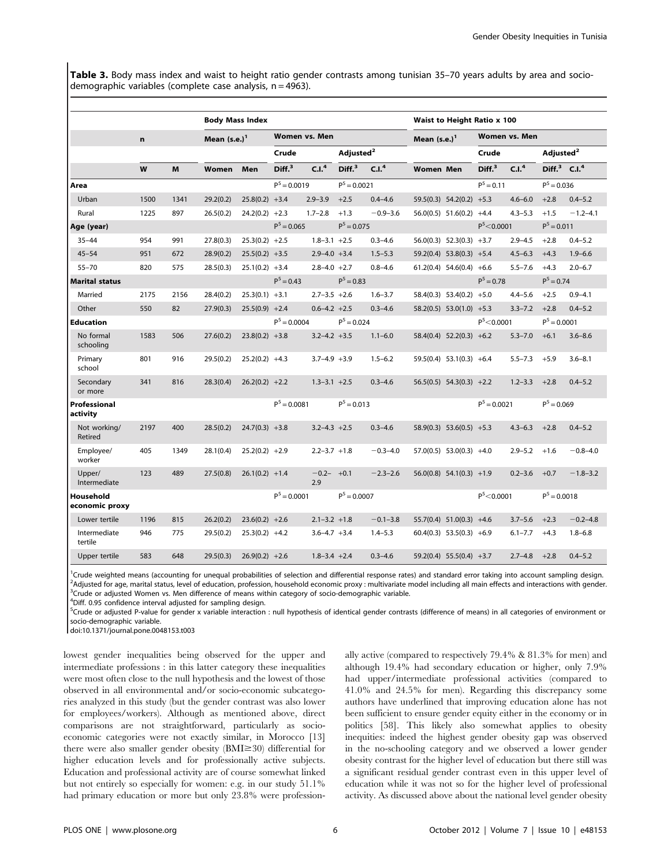Table 3. Body mass index and waist to height ratio gender contrasts among tunisian 35–70 years adults by area and sociodemographic variables (complete case analysis, n = 4963).

|                             |             |      |                | <b>Body Mass Index</b> |                   |                      |                       |                   | Waist to Height Ratio x 100 |                                |                    |                   |                             |              |  |  |
|-----------------------------|-------------|------|----------------|------------------------|-------------------|----------------------|-----------------------|-------------------|-----------------------------|--------------------------------|--------------------|-------------------|-----------------------------|--------------|--|--|
|                             | $\mathbf n$ |      | Mean $(s.e.)1$ |                        |                   | <b>Women vs. Men</b> |                       |                   |                             | Mean $(s.e.)1$                 |                    | Women vs. Men     |                             |              |  |  |
|                             |             |      |                |                        | Crude             |                      | Adjusted <sup>2</sup> |                   |                             |                                | Crude              |                   | Adjusted <sup>2</sup>       |              |  |  |
|                             | W           | M    | Women          | Men                    | Diff <sup>3</sup> | C.I. <sup>4</sup>    | Diff. <sup>3</sup>    | C.I. <sup>4</sup> | <b>Women Men</b>            |                                | Diff. <sup>3</sup> | C.I. <sup>4</sup> | Diff. $3$ C.I. <sup>4</sup> |              |  |  |
| Area                        |             |      |                |                        | $P^5 = 0.0019$    |                      | $P^5 = 0.0021$        |                   |                             |                                | $P^5 = 0.11$       |                   | $P^5 = 0.036$               |              |  |  |
| Urban                       | 1500        | 1341 | 29.2(0.2)      | $25.8(0.2) +3.4$       |                   | $2.9 - 3.9$          | $+2.5$                | $0.4 - 4.6$       |                             | $59.5(0.3)$ $54.2(0.2)$ +5.3   |                    | $4.6 - 6.0$       | $+2.8$                      | $0.4 - 5.2$  |  |  |
| Rural                       | 1225        | 897  | 26.5(0.2)      | $24.2(0.2) +2.3$       |                   | $1.7 - 2.8$          | $+1.3$                | $-0.9 - 3.6$      |                             | $56.0(0.5)$ $51.6(0.2)$ $+4.4$ |                    | $4.3 - 5.3$       | $+1.5$                      | $-1.2 - 4.1$ |  |  |
| Age (year)                  |             |      |                |                        | $P^5 = 0.065$     |                      | $P^5 = 0.075$         |                   |                             |                                | $P^5 < 0.0001$     |                   | $P^5 = 0.011$               |              |  |  |
| $35 - 44$                   | 954         | 991  | 27.8(0.3)      | $25.3(0.2) +2.5$       |                   | $1.8 - 3.1 + 2.5$    |                       | $0.3 - 4.6$       |                             | $56.0(0.3)$ $52.3(0.3)$ $+3.7$ |                    | $2.9 - 4.5$       | $+2.8$                      | $0.4 - 5.2$  |  |  |
| $45 - 54$                   | 951         | 672  | 28.9(0.2)      | $25.5(0.2) +3.5$       |                   | $2.9 - 4.0 + 3.4$    |                       | $1.5 - 5.3$       |                             | $59.2(0.4)$ $53.8(0.3)$ $+5.4$ |                    | $4.5 - 6.3$       | $+4.3$                      | $1.9 - 6.6$  |  |  |
| $55 - 70$                   | 820         | 575  | 28.5(0.3)      | $25.1(0.2) +3.4$       |                   | $2.8 - 4.0 + 2.7$    |                       | $0.8 - 4.6$       |                             | $61.2(0.4)$ 54.6(0.4) +6.6     |                    | $5.5 - 7.6$       | $+4.3$                      | $2.0 - 6.7$  |  |  |
| <b>Marital status</b>       |             |      |                |                        | $P^5 = 0.43$      |                      | $P^5 = 0.83$          |                   |                             |                                | $P^5 = 0.78$       |                   | $P^5 = 0.74$                |              |  |  |
| Married                     | 2175        | 2156 | 28.4(0.2)      | $25.3(0.1) +3.1$       |                   | $2.7 - 3.5 + 2.6$    |                       | $1.6 - 3.7$       |                             | $58.4(0.3)$ $53.4(0.2)$ $+5.0$ |                    | $4.4 - 5.6$       | $+2.5$                      | $0.9 - 4.1$  |  |  |
| Other                       | 550         | 82   | 27.9(0.3)      | $25.5(0.9) +2.4$       |                   | $0.6 - 4.2 + 2.5$    |                       | $0.3 - 4.6$       |                             | $58.2(0.5)$ $53.0(1.0)$ $+5.3$ |                    | $3.3 - 7.2$       | $+2.8$                      | $0.4 - 5.2$  |  |  |
| <b>Education</b>            |             |      |                |                        | $P^5 = 0.0004$    |                      | $P^5 = 0.024$         |                   |                             |                                | $P^5 < 0.0001$     |                   | $P^5 = 0.0001$              |              |  |  |
| No formal<br>schooling      | 1583        | 506  | 27.6(0.2)      | $23.8(0.2) +3.8$       |                   | $3.2 - 4.2 + 3.5$    |                       | $1.1 - 6.0$       |                             | $58.4(0.4)$ $52.2(0.3)$ +6.2   |                    | $5.3 - 7.0$       | $+6.1$                      | $3.6 - 8.6$  |  |  |
| Primary<br>school           | 801         | 916  | 29.5(0.2)      | $25.2(0.2) +4.3$       |                   | $3.7 - 4.9 + 3.9$    |                       | $1.5 - 6.2$       |                             | $59.5(0.4)$ $53.1(0.3)$ +6.4   |                    | $5.5 - 7.3$       | $+5.9$                      | $3.6 - 8.1$  |  |  |
| Secondary<br>or more        | 341         | 816  | 28.3(0.4)      | $26.2(0.2) +2.2$       |                   | $1.3 - 3.1 + 2.5$    |                       | $0.3 - 4.6$       |                             | $56.5(0.5)$ $54.3(0.3)$ $+2.2$ |                    | $1.2 - 3.3$       | $+2.8$                      | $0.4 - 5.2$  |  |  |
| Professional<br>activity    |             |      |                |                        | $P^5 = 0.0081$    |                      | $P^5 = 0.013$         |                   |                             |                                | $P^5 = 0.0021$     |                   | $P^5 = 0.069$               |              |  |  |
| Not working/<br>Retired     | 2197        | 400  | 28.5(0.2)      | $24.7(0.3) +3.8$       |                   | $3.2 - 4.3 + 2.5$    |                       | $0.3 - 4.6$       |                             | $58.9(0.3)$ $53.6(0.5)$ +5.3   |                    | $4.3 - 6.3$       | $+2.8$                      | $0.4 - 5.2$  |  |  |
| Employee/<br>worker         | 405         | 1349 | 28.1(0.4)      | $25.2(0.2) +2.9$       |                   | $2.2 - 3.7 + 1.8$    |                       | $-0.3 - 4.0$      |                             | $57.0(0.5)$ $53.0(0.3)$ $+4.0$ |                    | $2.9 - 5.2$       | $+1.6$                      | $-0.8 - 4.0$ |  |  |
| Upper/<br>Intermediate      | 123         | 489  | 27.5(0.8)      | $26.1(0.2) +1.4$       |                   | $-0.2 - +0.1$<br>2.9 |                       | $-2.3 - 2.6$      |                             | $56.0(0.8)$ $54.1(0.3)$ $+1.9$ |                    | $0.2 - 3.6$       | $+0.7$                      | $-1.8 - 3.2$ |  |  |
| Household<br>economic proxy |             |      |                |                        | $P^5 = 0.0001$    |                      | $P^5 = 0.0007$        |                   |                             |                                | $P^5 < 0.0001$     |                   | $P^5 = 0.0018$              |              |  |  |
| Lower tertile               | 1196        | 815  | 26.2(0.2)      | $23.6(0.2) +2.6$       |                   | $2.1 - 3.2 + 1.8$    |                       | $-0.1 - 3.8$      |                             | $55.7(0.4)$ $51.0(0.3)$ $+4.6$ |                    | $3.7 - 5.6$       | $+2.3$                      | $-0.2 - 4.8$ |  |  |
| Intermediate<br>tertile     | 946         | 775  | 29.5(0.2)      | $25.3(0.2) +4.2$       |                   | $3.6 - 4.7 + 3.4$    |                       | $1.4 - 5.3$       |                             | $60.4(0.3)$ 53.5(0.3) +6.9     |                    | $6.1 - 7.7$       | $+4.3$                      | $1.8 - 6.8$  |  |  |
| Upper tertile               | 583         | 648  | 29.5(0.3)      | $26.9(0.2) +2.6$       |                   | $1.8 - 3.4 + 2.4$    |                       | $0.3 - 4.6$       |                             | $59.2(0.4)$ $55.5(0.4)$ $+3.7$ |                    | $2.7 - 4.8$       | $+2.8$                      | $0.4 - 5.2$  |  |  |

<sup>1</sup>Crude weighted means (accounting for unequal probabilities of selection and differential response rates) and standard error taking into account sampling design.<br><sup>2</sup>Adjusted for ace, marital status level of education, pr <sup>2</sup>Adjusted for age, marital status, level of education, profession, household economic proxy : multivariate model including all main effects and interactions with gender. <sup>3</sup>Crude or adjusted Women vs. Men difference of means within category of socio-demographic variable.

<sup>4</sup>Diff. 0.95 confidence interval adjusted for sampling design.

<sup>5</sup>Crude or adjusted P-value for gender x variable interaction : null hypothesis of identical gender contrasts (difference of means) in all categories of environment or socio-demographic variable.

doi:10.1371/journal.pone.0048153.t003

lowest gender inequalities being observed for the upper and intermediate professions : in this latter category these inequalities were most often close to the null hypothesis and the lowest of those observed in all environmental and/or socio-economic subcategories analyzed in this study (but the gender contrast was also lower for employees/workers). Although as mentioned above, direct comparisons are not straightforward, particularly as socioeconomic categories were not exactly similar, in Morocco [13] there were also smaller gender obesity  $(BMI \geq 30)$  differential for higher education levels and for professionally active subjects. Education and professional activity are of course somewhat linked but not entirely so especially for women: e.g. in our study 51.1% had primary education or more but only 23.8% were professionally active (compared to respectively 79.4% & 81.3% for men) and although 19.4% had secondary education or higher, only 7.9% had upper/intermediate professional activities (compared to 41.0% and 24.5% for men). Regarding this discrepancy some authors have underlined that improving education alone has not been sufficient to ensure gender equity either in the economy or in politics [58]. This likely also somewhat applies to obesity inequities: indeed the highest gender obesity gap was observed in the no-schooling category and we observed a lower gender obesity contrast for the higher level of education but there still was a significant residual gender contrast even in this upper level of education while it was not so for the higher level of professional activity. As discussed above about the national level gender obesity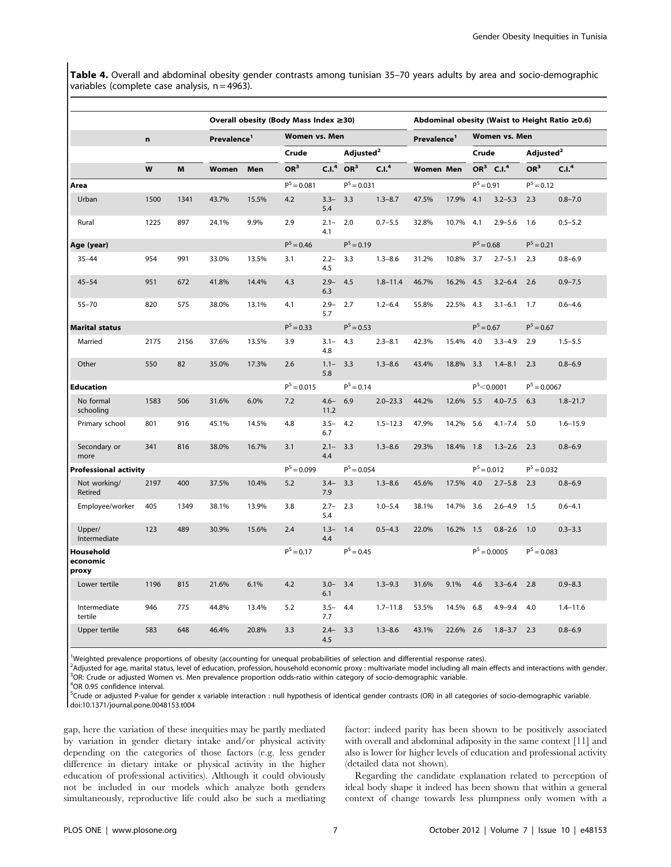Table 4. Overall and abdominal obesity gender contrasts among tunisian 35–70 years adults by area and socio-demographic variables (complete case analysis, n = 4963).

|                                | Overall obesity (Body Mass Index ≥30) |      |                                          |       |                 |                   |                       | Abdominal obesity (Waist to Height Ratio ≥0.6) |                         |       |                      |                   |                       |                   |  |
|--------------------------------|---------------------------------------|------|------------------------------------------|-------|-----------------|-------------------|-----------------------|------------------------------------------------|-------------------------|-------|----------------------|-------------------|-----------------------|-------------------|--|
|                                | n.                                    |      | Women vs. Men<br>Prevalence <sup>1</sup> |       |                 |                   |                       |                                                | Prevalence <sup>1</sup> |       | <b>Women vs. Men</b> |                   |                       |                   |  |
|                                |                                       |      |                                          |       | Crude           |                   | Adjusted <sup>2</sup> |                                                |                         |       | Crude                |                   | Adjusted <sup>2</sup> |                   |  |
|                                | W                                     | M    | Women                                    | Men   | OR <sup>3</sup> | C.I. <sup>4</sup> | OR <sup>3</sup>       | C.I. <sup>4</sup>                              | <b>Women Men</b>        |       | OR <sup>3</sup>      | C.l. <sup>4</sup> | OR <sup>3</sup>       | C.I. <sup>4</sup> |  |
| Area                           |                                       |      |                                          |       | $P^5 = 0.081$   |                   | $P^5 = 0.031$         |                                                |                         |       | $P^5 = 0.91$         |                   | $P^5 = 0.12$          |                   |  |
| Urban                          | 1500                                  | 1341 | 43.7%                                    | 15.5% | 4.2             | $3.3-$<br>5.4     | 3.3                   | $1.3 - 8.7$                                    | 47.5%                   | 17.9% | 4.1                  | $3.2 - 5.3$       | 2.3                   | $0.8 - 7.0$       |  |
| Rural                          | 1225                                  | 897  | 24.1%                                    | 9.9%  | 2.9             | $2.1 -$<br>4.1    | 2.0                   | $0.7 - 5.5$                                    | 32.8%                   | 10.7% | 4.1                  | $2.9 - 5.6$       | 1.6                   | $0.5 - 5.2$       |  |
| Age (year)                     |                                       |      |                                          |       | $P^5 = 0.46$    |                   | $P^5 = 0.19$          |                                                |                         |       | $P^5 = 0.68$         |                   | $P^5 = 0.21$          |                   |  |
| $35 - 44$                      | 954                                   | 991  | 33.0%                                    | 13.5% | 3.1             | $2.2 -$<br>4.5    | 3.3                   | $1.3 - 8.6$                                    | 31.2%                   | 10.8% | 3.7                  | $2.7 - 5.1$       | 2.3                   | $0.8 - 6.9$       |  |
| $45 - 54$                      | 951                                   | 672  | 41.8%                                    | 14.4% | 4.3             | $2.9 -$<br>6.3    | 4.5                   | $1.8 - 11.4$                                   | 46.7%                   | 16.2% | 4.5                  | $3.2 - 6.4$       | 2.6                   | $0.9 - 7.5$       |  |
| $55 - 70$                      | 820                                   | 575  | 38.0%                                    | 13.1% | 4.1             | $2.9 -$<br>5.7    | 2.7                   | $1.2 - 6.4$                                    | 55.8%                   | 22.5% | 4.3                  | $3.1 - 6.1$       | 1.7                   | $0.6 - 4.6$       |  |
| <b>Marital status</b>          |                                       |      |                                          |       | $P^5 = 0.33$    |                   | $P^5 = 0.53$          |                                                |                         |       | $P^5 = 0.67$         |                   | $P^5 = 0.67$          |                   |  |
| Married                        | 2175                                  | 2156 | 37.6%                                    | 13.5% | 3.9             | $3.1 -$<br>4.8    | 4.3                   | $2.3 - 8.1$                                    | 42.3%                   | 15.4% | 4.0                  | $3.3 - 4.9$       | 2.9                   | $1.5 - 5.5$       |  |
| Other                          | 550                                   | 82   | 35.0%                                    | 17.3% | 2.6             | $1.1 -$<br>5.8    | 3.3                   | $1.3 - 8.6$                                    | 43.4%                   | 18.8% | 3.3                  | $1.4 - 8.1$       | 2.3                   | $0.8 - 6.9$       |  |
| <b>Education</b>               |                                       |      |                                          |       | $P^5 = 0.015$   |                   | $P^5 = 0.14$          |                                                |                         |       | $P^5 < 0.0001$       |                   | $P^5 = 0.0067$        |                   |  |
| No formal<br>schooling         | 1583                                  | 506  | 31.6%                                    | 6.0%  | 7.2             | $4.6 -$<br>11.2   | 6.9                   | $2.0 - 23.3$                                   | 44.2%                   | 12.6% | 5.5                  | $4.0 - 7.5$       | 6.3                   | $1.8 - 21.7$      |  |
| Primary school                 | 801                                   | 916  | 45.1%                                    | 14.5% | 4.8             | $3.5 -$<br>6.7    | 4.2                   | $1.5 - 12.3$                                   | 47.9%                   | 14.2% | 5.6                  | $4.1 - 7.4$       | 5.0                   | $1.6 - 15.9$      |  |
| Secondary or<br>more           | 341                                   | 816  | 38.0%                                    | 16.7% | 3.1             | $2.1 -$<br>4.4    | 3.3                   | $1.3 - 8.6$                                    | 29.3%                   | 18.4% | 1.8                  | $1.3 - 2.6$       | 2.3                   | $0.8 - 6.9$       |  |
| Professional activity          |                                       |      |                                          |       | $P^5 = 0.099$   |                   | $P^5 = 0.054$         |                                                |                         |       | $P^5 = 0.012$        |                   | $P^5 = 0.032$         |                   |  |
| Not working/<br>Retired        | 2197                                  | 400  | 37.5%                                    | 10.4% | 5.2             | $3.4-$<br>7.9     | 3.3                   | $1.3 - 8.6$                                    | 45.6%                   | 17.5% | 4.0                  | $2.7 - 5.8$       | 2.3                   | $0.8 - 6.9$       |  |
| Employee/worker                | 405                                   | 1349 | 38.1%                                    | 13.9% | 3.8             | $2.7 -$<br>5.4    | 2.3                   | $1.0 - 5.4$                                    | 38.1%                   | 14.7% | 3.6                  | $2.6 - 4.9$       | 1.5                   | $0.6 - 4.1$       |  |
| Upper/<br>Intermediate         | 123                                   | 489  | 30.9%                                    | 15.6% | 2.4             | $1.3 -$<br>4.4    | 1.4                   | $0.5 - 4.3$                                    | 22.0%                   | 16.2% | 1.5                  | $0.8 - 2.6$       | 1.0                   | $0.3 - 3.3$       |  |
| Household<br>economic<br>proxy |                                       |      |                                          |       | $P^5 = 0.17$    |                   | $P^5 = 0.45$          |                                                |                         |       |                      | $P^5 = 0.0005$    | $P^5 = 0.083$         |                   |  |
| Lower tertile                  | 1196                                  | 815  | 21.6%                                    | 6.1%  | 4.2             | $3.0 -$<br>6.1    | 3.4                   | $1.3 - 9.3$                                    | 31.6%                   | 9.1%  | 4.6                  | $3.3 - 6.4$       | 2.8                   | $0.9 - 8.3$       |  |
| Intermediate<br>tertile        | 946                                   | 775  | 44.8%                                    | 13.4% | 5.2             | $3.5 -$<br>7.7    | 4.4                   | $1.7 - 11.8$                                   | 53.5%                   | 14.5% | 6.8                  | $4.9 - 9.4$       | 4.0                   | $1.4 - 11.6$      |  |
| Upper tertile                  | 583                                   | 648  | 46.4%                                    | 20.8% | 3.3             | $2.4-$<br>4.5     | 3.3                   | $1.3 - 8.6$                                    | 43.1%                   | 22.6% | 2.6                  | $1.8 - 3.7$       | 2.3                   | $0.8 - 6.9$       |  |

<sup>1</sup>Weighted prevalence proportions of obesity (accounting for unequal probabilities of selection and differential response rates).

<sup>2</sup>Adjusted for age, marital status, level of education, profession, household economic proxy : multivariate model including all main effects and interactions with gender.<br><sup>3</sup>OP: Crude ex adjusted Wemen us, Man prevalence <sup>3</sup>OR: Crude or adjusted Women vs. Men prevalence proportion odds-ratio within category of socio-demographic variable.

4 OR 0.95 confidence interval.

<sup>5</sup>Crude or adjusted P-value for gender x variable interaction : null hypothesis of identical gender contrasts (OR) in all categories of socio-demographic variable. doi:10.1371/journal.pone.0048153.t004

gap, here the variation of these inequities may be partly mediated by variation in gender dietary intake and/or physical activity depending on the categories of those factors (e.g. less gender difference in dietary intake or physical activity in the higher education of professional activities). Although it could obviously not be included in our models which analyze both genders simultaneously, reproductive life could also be such a mediating factor: indeed parity has been shown to be positively associated with overall and abdominal adiposity in the same context [11] and also is lower for higher levels of education and professional activity (detailed data not shown).

Regarding the candidate explanation related to perception of ideal body shape it indeed has been shown that within a general context of change towards less plumpness only women with a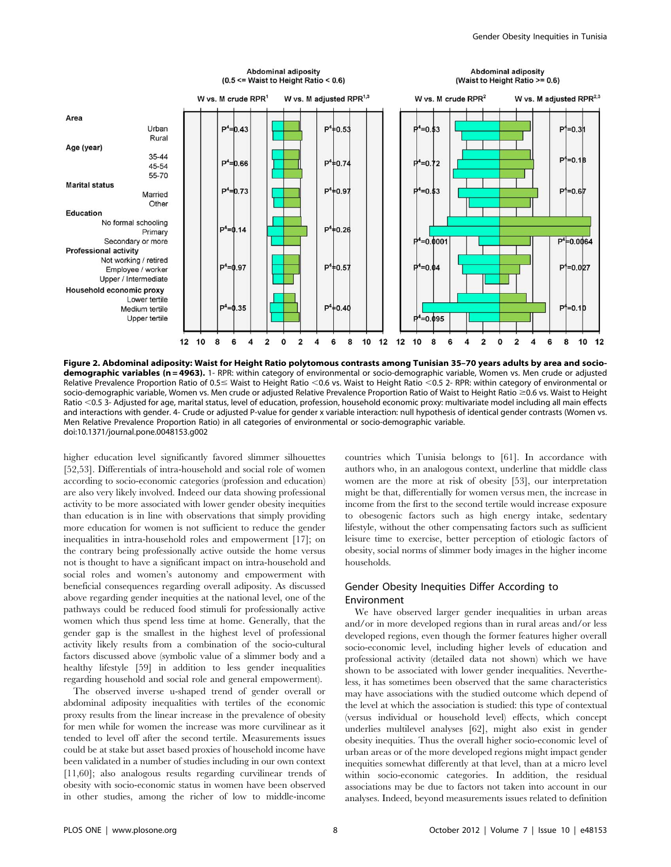

Figure 2. Abdominal adiposity: Waist for Height Ratio polytomous contrasts among Tunisian 35–70 years adults by area and sociodemographic variables (n = 4963). 1- RPR: within category of environmental or socio-demographic variable, Women vs. Men crude or adjusted Relative Prevalence Proportion Ratio of 0.5  $\leq$  Waist to Height Ratio <0.6 vs. Waist to Height Ratio <0.5 2- RPR: within category of environmental or socio-demographic variable, Women vs. Men crude or adjusted Relative Prevalence Proportion Ratio of Waist to Height Ratio  $\geq 0.6$  vs. Waist to Height Ratio <0.5 3- Adjusted for age, marital status, level of education, profession, household economic proxy: multivariate model including all main effects and interactions with gender. 4- Crude or adjusted P-value for gender x variable interaction: null hypothesis of identical gender contrasts (Women vs. Men Relative Prevalence Proportion Ratio) in all categories of environmental or socio-demographic variable. doi:10.1371/journal.pone.0048153.g002

higher education level significantly favored slimmer silhouettes [52,53]. Differentials of intra-household and social role of women according to socio-economic categories (profession and education) are also very likely involved. Indeed our data showing professional activity to be more associated with lower gender obesity inequities than education is in line with observations that simply providing more education for women is not sufficient to reduce the gender inequalities in intra-household roles and empowerment [17]; on the contrary being professionally active outside the home versus not is thought to have a significant impact on intra-household and social roles and women's autonomy and empowerment with beneficial consequences regarding overall adiposity. As discussed above regarding gender inequities at the national level, one of the pathways could be reduced food stimuli for professionally active women which thus spend less time at home. Generally, that the gender gap is the smallest in the highest level of professional activity likely results from a combination of the socio-cultural factors discussed above (symbolic value of a slimmer body and a healthy lifestyle [59] in addition to less gender inequalities regarding household and social role and general empowerment).

The observed inverse u-shaped trend of gender overall or abdominal adiposity inequalities with tertiles of the economic proxy results from the linear increase in the prevalence of obesity for men while for women the increase was more curvilinear as it tended to level off after the second tertile. Measurements issues could be at stake but asset based proxies of household income have been validated in a number of studies including in our own context [11,60]; also analogous results regarding curvilinear trends of obesity with socio-economic status in women have been observed in other studies, among the richer of low to middle-income

countries which Tunisia belongs to [61]. In accordance with authors who, in an analogous context, underline that middle class women are the more at risk of obesity [53], our interpretation might be that, differentially for women versus men, the increase in income from the first to the second tertile would increase exposure to obesogenic factors such as high energy intake, sedentary lifestyle, without the other compensating factors such as sufficient leisure time to exercise, better perception of etiologic factors of obesity, social norms of slimmer body images in the higher income households.

# Gender Obesity Inequities Differ According to Environment

We have observed larger gender inequalities in urban areas and/or in more developed regions than in rural areas and/or less developed regions, even though the former features higher overall socio-economic level, including higher levels of education and professional activity (detailed data not shown) which we have shown to be associated with lower gender inequalities. Nevertheless, it has sometimes been observed that the same characteristics may have associations with the studied outcome which depend of the level at which the association is studied: this type of contextual (versus individual or household level) effects, which concept underlies multilevel analyses [62], might also exist in gender obesity inequities. Thus the overall higher socio-economic level of urban areas or of the more developed regions might impact gender inequities somewhat differently at that level, than at a micro level within socio-economic categories. In addition, the residual associations may be due to factors not taken into account in our analyses. Indeed, beyond measurements issues related to definition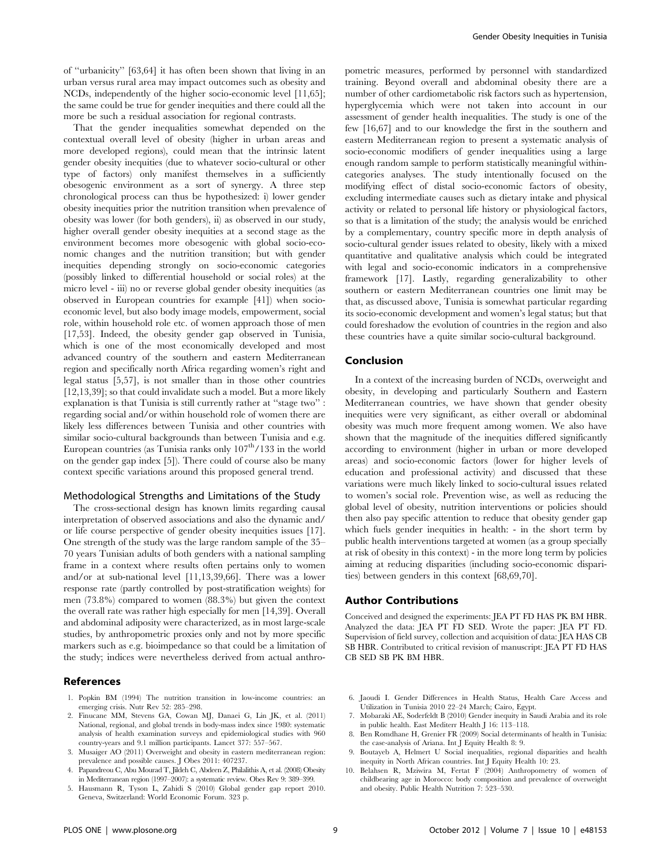of ''urbanicity'' [63,64] it has often been shown that living in an urban versus rural area may impact outcomes such as obesity and NCDs, independently of the higher socio-economic level [11,65]; the same could be true for gender inequities and there could all the more be such a residual association for regional contrasts.

That the gender inequalities somewhat depended on the contextual overall level of obesity (higher in urban areas and more developed regions), could mean that the intrinsic latent gender obesity inequities (due to whatever socio-cultural or other type of factors) only manifest themselves in a sufficiently obesogenic environment as a sort of synergy. A three step chronological process can thus be hypothesized: i) lower gender obesity inequities prior the nutrition transition when prevalence of obesity was lower (for both genders), ii) as observed in our study, higher overall gender obesity inequities at a second stage as the environment becomes more obesogenic with global socio-economic changes and the nutrition transition; but with gender inequities depending strongly on socio-economic categories (possibly linked to differential household or social roles) at the micro level - iii) no or reverse global gender obesity inequities (as observed in European countries for example [41]) when socioeconomic level, but also body image models, empowerment, social role, within household role etc. of women approach those of men [17,53]. Indeed, the obesity gender gap observed in Tunisia, which is one of the most economically developed and most advanced country of the southern and eastern Mediterranean region and specifically north Africa regarding women's right and legal status [5,57], is not smaller than in those other countries [12,13,39]; so that could invalidate such a model. But a more likely explanation is that Tunisia is still currently rather at ''stage two'' : regarding social and/or within household role of women there are likely less differences between Tunisia and other countries with similar socio-cultural backgrounds than between Tunisia and e.g. European countries (as Tunisia ranks only  $107<sup>th</sup>/133$  in the world on the gender gap index [5]). There could of course also be many context specific variations around this proposed general trend.

#### Methodological Strengths and Limitations of the Study

The cross-sectional design has known limits regarding causal interpretation of observed associations and also the dynamic and/ or life course perspective of gender obesity inequities issues [17]. One strength of the study was the large random sample of the 35– 70 years Tunisian adults of both genders with a national sampling frame in a context where results often pertains only to women and/or at sub-national level [11,13,39,66]. There was a lower response rate (partly controlled by post-stratification weights) for men (73.8%) compared to women (88.3%) but given the context the overall rate was rather high especially for men [14,39]. Overall and abdominal adiposity were characterized, as in most large-scale studies, by anthropometric proxies only and not by more specific markers such as e.g. bioimpedance so that could be a limitation of the study; indices were nevertheless derived from actual anthro-

# References

- 1. Popkin BM (1994) The nutrition transition in low-income countries: an emerging crisis. Nutr Rev 52: 285–298.
- 2. Finucane MM, Stevens GA, Cowan MJ, Danaei G, Lin JK, et al. (2011) National, regional, and global trends in body-mass index since 1980: systematic analysis of health examination surveys and epidemiological studies with 960 country-years and 9.1 million participants. Lancet 377: 557–567.
- 3. Musaiger AO (2011) Overweight and obesity in eastern mediterranean region: prevalence and possible causes. J Obes 2011: 407237.
- 4. Papandreou C, Abu Mourad T, Jildeh C, Abdeen Z, Philalithis A, et al. (2008) Obesity in Mediterranean region (1997–2007): a systematic review. Obes Rev 9: 389–399.
- 5. Hausmann R, Tyson L, Zahidi S (2010) Global gender gap report 2010. Geneva, Switzerland: World Economic Forum. 323 p.

pometric measures, performed by personnel with standardized training. Beyond overall and abdominal obesity there are a number of other cardiometabolic risk factors such as hypertension, hyperglycemia which were not taken into account in our assessment of gender health inequalities. The study is one of the few [16,67] and to our knowledge the first in the southern and eastern Mediterranean region to present a systematic analysis of socio-economic modifiers of gender inequalities using a large enough random sample to perform statistically meaningful withincategories analyses. The study intentionally focused on the modifying effect of distal socio-economic factors of obesity, excluding intermediate causes such as dietary intake and physical activity or related to personal life history or physiological factors, so that is a limitation of the study; the analysis would be enriched by a complementary, country specific more in depth analysis of socio-cultural gender issues related to obesity, likely with a mixed quantitative and qualitative analysis which could be integrated with legal and socio-economic indicators in a comprehensive framework [17]. Lastly, regarding generalizability to other southern or eastern Mediterranean countries one limit may be that, as discussed above, Tunisia is somewhat particular regarding its socio-economic development and women's legal status; but that could foreshadow the evolution of countries in the region and also these countries have a quite similar socio-cultural background.

#### Conclusion

In a context of the increasing burden of NCDs, overweight and obesity, in developing and particularly Southern and Eastern Mediterranean countries, we have shown that gender obesity inequities were very significant, as either overall or abdominal obesity was much more frequent among women. We also have shown that the magnitude of the inequities differed significantly according to environment (higher in urban or more developed areas) and socio-economic factors (lower for higher levels of education and professional activity) and discussed that these variations were much likely linked to socio-cultural issues related to women's social role. Prevention wise, as well as reducing the global level of obesity, nutrition interventions or policies should then also pay specific attention to reduce that obesity gender gap which fuels gender inequities in health: - in the short term by public health interventions targeted at women (as a group specially at risk of obesity in this context) - in the more long term by policies aiming at reducing disparities (including socio-economic disparities) between genders in this context [68,69,70].

#### Author Contributions

Conceived and designed the experiments: JEA PT FD HAS PK BM HBR. Analyzed the data: JEA PT FD SED. Wrote the paper: JEA PT FD. Supervision of field survey, collection and acquisition of data: JEA HAS CB SB HBR. Contributed to critical revision of manuscript: JEA PT FD HAS CB SED SB PK BM HBR.

- 6. Jaoudi I. Gender Differences in Health Status, Health Care Access and Utilization in Tunisia 2010 22–24 March; Cairo, Egypt.
- 7. Mobaraki AE, Soderfeldt B (2010) Gender inequity in Saudi Arabia and its role in public health. East Mediterr Health J 16: 113–118.
- 8. Ben Romdhane H, Grenier FR (2009) Social determinants of health in Tunisia: the case-analysis of Ariana. Int J Equity Health 8: 9.
- 9. Boutayeb A, Helmert U Social inequalities, regional disparities and health inequity in North African countries. Int J Equity Health 10: 23.
- 10. Belahsen R, Mziwira M, Fertat F (2004) Anthropometry of women of childbearing age in Morocco: body composition and prevalence of overweight and obesity. Public Health Nutrition 7: 523–530.